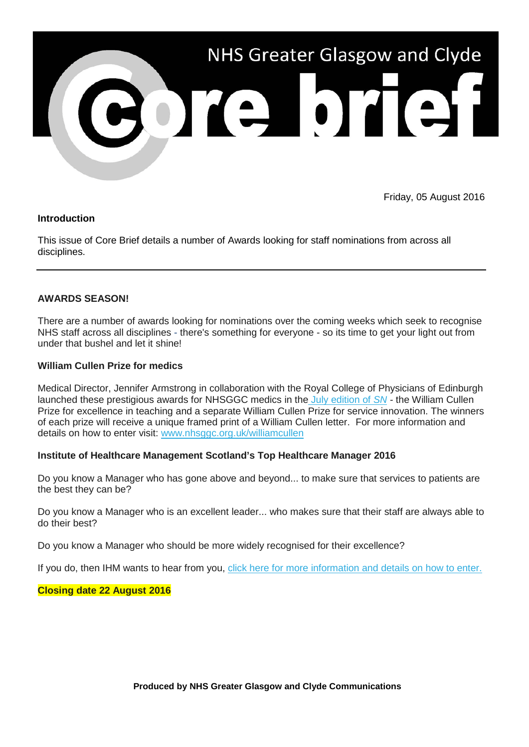

Friday, 05 August 2016

## **Introduction**

This issue of Core Brief details a number of Awards looking for staff nominations from across all disciplines.

## **AWARDS SEASON!**

There are a number of awards looking for nominations over the coming weeks which seek to recognise NHS staff across all disciplines - there's something for everyone - so its time to get your light out from under that bushel and let it shine!

#### **William Cullen Prize for medics**

Medical Director, Jennifer Armstrong in collaboration with the Royal College of Physicians of Edinburgh launched these prestigious awards for NHSGGC medics in the [July edition of](http://nhsggc.us12.list-manage1.com/track/click?u=0f385b5aea37eaf0213bd19fb&id=4db30ccd5a&e=5af5e1832c) *[SN](http://nhsggc.us12.list-manage1.com/track/click?u=0f385b5aea37eaf0213bd19fb&id=4db30ccd5a&e=5af5e1832c) -* the William Cullen Prize for excellence in teaching and a separate William Cullen Prize for service innovation. The winners of each prize will receive a unique framed print of a William Cullen letter. For more information and details on how to enter visit: [www.nhsggc.org.uk/williamcullen](http://nhsggc.us12.list-manage.com/track/click?u=0f385b5aea37eaf0213bd19fb&id=ae6beac102&e=5af5e1832c)

# **Institute of Healthcare Management Scotland's Top Healthcare Manager 2016**

Do you know a Manager who has gone above and beyond... to make sure that services to patients are the best they can be?

Do you know a Manager who is an excellent leader... who makes sure that their staff are always able to do their best?

Do you know a Manager who should be more widely recognised for their excellence?

If you do, then IHM wants to hear from you, click here [for more information and details on how to enter.](http://nhsggc.us12.list-manage.com/track/click?u=0f385b5aea37eaf0213bd19fb&id=5d34cde147&e=5af5e1832c)

#### **Closing date 22 August 2016**